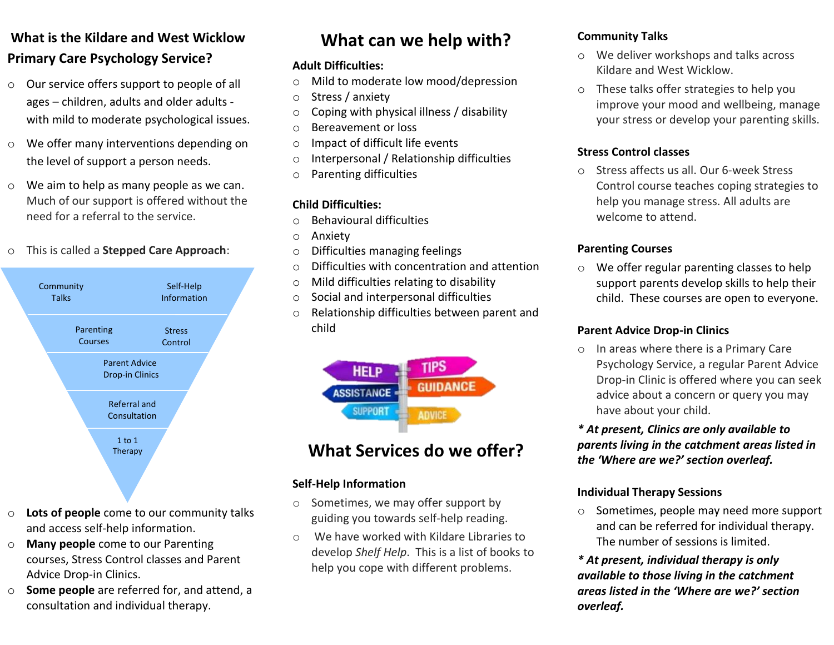## **What is the Kildare and West Wicklow Primary Care Psychology Service?**

- o Our service offers support to people of all ages – children, adults and older adults with mild to moderate psychological issues.
- o We offer many interventions depending on the level of support a person needs.
- o We aim to help as many people as we can. Much of our support is offered without the need for a referral to the service.

#### o This is called a **Stepped Care Approach**:



- o **Lots of people** come to our community talks and access self-help information.
- o **Many people** come to our Parenting courses, Stress Control classes and Parent Advice Drop-in Clinics.
- o **Some people** are referred for, and attend, a consultation and individual therapy.

## **What can we help with?**

#### **Adult Difficulties:**

- o Mild to moderate low mood/depression
- o Stress / anxiety
- $\circ$  Coping with physical illness / disability
- o Bereavement or loss
- o Impact of difficult life events
- o Interpersonal / Relationship difficulties
- o Parenting difficulties

#### **Child Difficulties:**

- o Behavioural difficulties
- o Anxiety
- o Difficulties managing feelings
- o Difficulties with concentration and attention
- o Mild difficulties relating to disability
- o Social and interpersonal difficulties
- o Relationship difficulties between parent and child



## **What Services do we offer?**

#### **Self-Help Information**

- o Sometimes, we may offer support by guiding you towards self-help reading.
- o We have worked with Kildare Libraries to develop *Shelf Help*. This is a list of books to help you cope with different problems.

#### **Community Talks**

- o We deliver workshops and talks across Kildare and West Wicklow.
- o These talks offer strategies to help you improve your mood and wellbeing, manage your stress or develop your parenting skills.

#### **Stress Control classes**

o Stress affects us all. Our 6-week Stress Control course teaches coping strategies to help you manage stress. All adults are welcome to attend.

#### **Parenting Courses**

o We offer regular parenting classes to help support parents develop skills to help their child. These courses are open to everyone.

#### **Parent Advice Drop-in Clinics**

o In areas where there is a Primary Care Psychology Service, a regular Parent Advice Drop-in Clinic is offered where you can seek advice about a concern or query you may have about your child.

#### *\* At present, Clinics are only available to parents living in the catchment areas listed in the 'Where are we?' section overleaf.*

#### **Individual Therapy Sessions**

o Sometimes, people may need more support and can be referred for individual therapy. The number of sessions is limited.

*\* At present, individual therapy is only available to those living in the catchment areas listed in the 'Where are we?' section overleaf.*